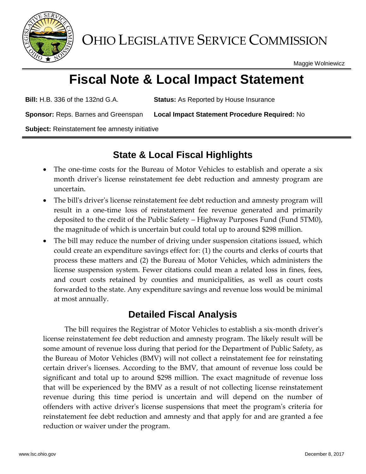

OHIO LEGISLATIVE SERVICE COMMISSION

Maggie Wolniewicz

# **Fiscal Note & Local Impact Statement**

**Bill:** H.B. 336 of the 132nd G.A. **Status:** As Reported by House Insurance

**Sponsor:** Reps. Barnes and Greenspan **Local Impact Statement Procedure Required:** No

**Subject:** Reinstatement fee amnesty initiative

# **State & Local Fiscal Highlights**

- The one-time costs for the Bureau of Motor Vehicles to establish and operate a six month driver's license reinstatement fee debt reduction and amnesty program are uncertain.
- The bill's driver's license reinstatement fee debt reduction and amnesty program will result in a one-time loss of reinstatement fee revenue generated and primarily deposited to the credit of the Public Safety – Highway Purposes Fund (Fund 5TM0), the magnitude of which is uncertain but could total up to around \$298 million.
- The bill may reduce the number of driving under suspension citations issued, which could create an expenditure savings effect for: (1) the courts and clerks of courts that process these matters and (2) the Bureau of Motor Vehicles, which administers the license suspension system. Fewer citations could mean a related loss in fines, fees, and court costs retained by counties and municipalities, as well as court costs forwarded to the state. Any expenditure savings and revenue loss would be minimal at most annually.

## **Detailed Fiscal Analysis**

The bill requires the Registrar of Motor Vehicles to establish a six-month driver's license reinstatement fee debt reduction and amnesty program. The likely result will be some amount of revenue loss during that period for the Department of Public Safety, as the Bureau of Motor Vehicles (BMV) will not collect a reinstatement fee for reinstating certain driver's licenses. According to the BMV, that amount of revenue loss could be significant and total up to around \$298 million. The exact magnitude of revenue loss that will be experienced by the BMV as a result of not collecting license reinstatement revenue during this time period is uncertain and will depend on the number of offenders with active driver's license suspensions that meet the program's criteria for reinstatement fee debt reduction and amnesty and that apply for and are granted a fee reduction or waiver under the program.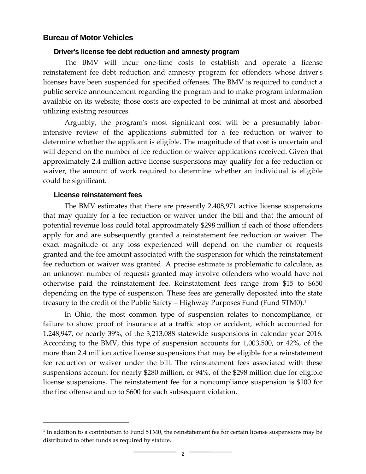### **Bureau of Motor Vehicles**

#### **Driver's license fee debt reduction and amnesty program**

The BMV will incur one-time costs to establish and operate a license reinstatement fee debt reduction and amnesty program for offenders whose driver's licenses have been suspended for specified offenses. The BMV is required to conduct a public service announcement regarding the program and to make program information available on its website; those costs are expected to be minimal at most and absorbed utilizing existing resources.

Arguably, the program's most significant cost will be a presumably laborintensive review of the applications submitted for a fee reduction or waiver to determine whether the applicant is eligible. The magnitude of that cost is uncertain and will depend on the number of fee reduction or waiver applications received. Given that approximately 2.4 million active license suspensions may qualify for a fee reduction or waiver, the amount of work required to determine whether an individual is eligible could be significant.

#### **License reinstatement fees**

 $\overline{a}$ 

The BMV estimates that there are presently 2,408,971 active license suspensions that may qualify for a fee reduction or waiver under the bill and that the amount of potential revenue loss could total approximately \$298 million if each of those offenders apply for and are subsequently granted a reinstatement fee reduction or waiver. The exact magnitude of any loss experienced will depend on the number of requests granted and the fee amount associated with the suspension for which the reinstatement fee reduction or waiver was granted. A precise estimate is problematic to calculate, as an unknown number of requests granted may involve offenders who would have not otherwise paid the reinstatement fee. Reinstatement fees range from \$15 to \$650 depending on the type of suspension. These fees are generally deposited into the state treasury to the credit of the Public Safety – Highway Purposes Fund (Fund 5TM0).<sup>1</sup>

In Ohio, the most common type of suspension relates to noncompliance, or failure to show proof of insurance at a traffic stop or accident, which accounted for 1,248,947, or nearly 39%, of the 3,213,088 statewide suspensions in calendar year 2016. According to the BMV, this type of suspension accounts for 1,003,500, or 42%, of the more than 2.4 million active license suspensions that may be eligible for a reinstatement fee reduction or waiver under the bill. The reinstatement fees associated with these suspensions account for nearly \$280 million, or 94%, of the \$298 million due for eligible license suspensions. The reinstatement fee for a noncompliance suspension is \$100 for the first offense and up to \$600 for each subsequent violation.

 $<sup>1</sup>$  In addition to a contribution to Fund 5TM0, the reinstatement fee for certain license suspensions may be</sup> distributed to other funds as required by statute.